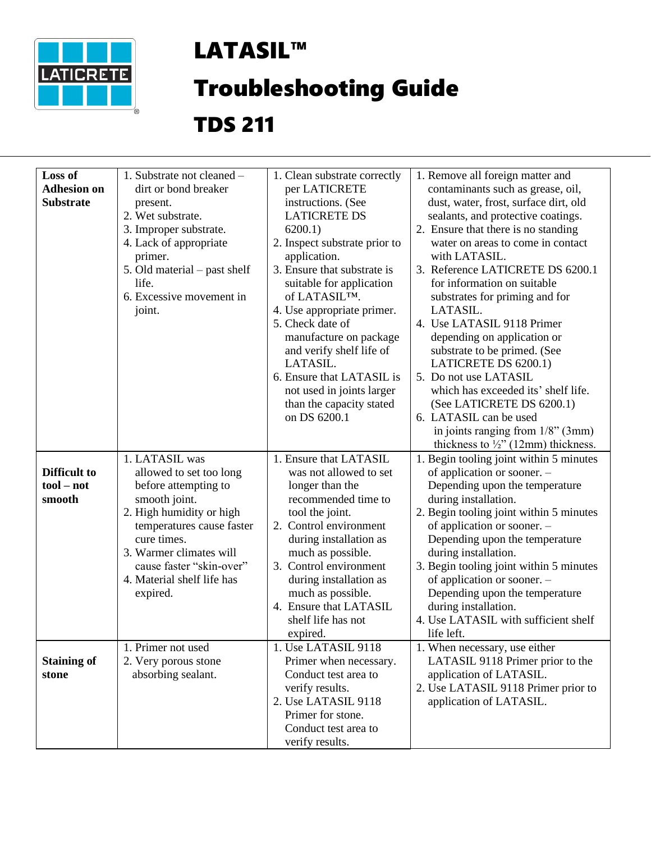

## LATASIL™

## Troubleshooting Guide

## TDS 211

| Loss of<br><b>Adhesion on</b><br><b>Substrate</b> | 1. Substrate not cleaned -<br>dirt or bond breaker<br>present.<br>2. Wet substrate.<br>3. Improper substrate.<br>4. Lack of appropriate<br>primer.<br>5. Old material – past shelf<br>life.<br>6. Excessive movement in<br>joint.                           | 1. Clean substrate correctly<br>per LATICRETE<br>instructions. (See<br><b>LATICRETE DS</b><br>$6200.1$ )<br>2. Inspect substrate prior to<br>application.<br>3. Ensure that substrate is<br>suitable for application<br>of LATASIL™.<br>4. Use appropriate primer.<br>5. Check date of<br>manufacture on package<br>and verify shelf life of<br>LATASIL.<br>6. Ensure that LATASIL is<br>not used in joints larger<br>than the capacity stated<br>on DS 6200.1 | 1. Remove all foreign matter and<br>contaminants such as grease, oil,<br>dust, water, frost, surface dirt, old<br>sealants, and protective coatings.<br>2. Ensure that there is no standing<br>water on areas to come in contact<br>with LATASIL.<br>3. Reference LATICRETE DS 6200.1<br>for information on suitable<br>substrates for priming and for<br>LATASIL.<br>4. Use LATASIL 9118 Primer<br>depending on application or<br>substrate to be primed. (See<br>LATICRETE DS 6200.1)<br>5. Do not use LATASIL<br>which has exceeded its' shelf life.<br>(See LATICRETE DS 6200.1)<br>6. LATASIL can be used<br>in joints ranging from $1/8$ " (3mm)<br>thickness to $\frac{1}{2}$ " (12mm) thickness. |
|---------------------------------------------------|-------------------------------------------------------------------------------------------------------------------------------------------------------------------------------------------------------------------------------------------------------------|----------------------------------------------------------------------------------------------------------------------------------------------------------------------------------------------------------------------------------------------------------------------------------------------------------------------------------------------------------------------------------------------------------------------------------------------------------------|----------------------------------------------------------------------------------------------------------------------------------------------------------------------------------------------------------------------------------------------------------------------------------------------------------------------------------------------------------------------------------------------------------------------------------------------------------------------------------------------------------------------------------------------------------------------------------------------------------------------------------------------------------------------------------------------------------|
| <b>Difficult to</b><br>$tool - not$<br>smooth     | 1. LATASIL was<br>allowed to set too long<br>before attempting to<br>smooth joint.<br>2. High humidity or high<br>temperatures cause faster<br>cure times.<br>3. Warmer climates will<br>cause faster "skin-over"<br>4. Material shelf life has<br>expired. | 1. Ensure that LATASIL<br>was not allowed to set<br>longer than the<br>recommended time to<br>tool the joint.<br>2. Control environment<br>during installation as<br>much as possible.<br>3. Control environment<br>during installation as<br>much as possible.<br>4. Ensure that LATASIL<br>shelf life has not<br>expired.                                                                                                                                    | 1. Begin tooling joint within 5 minutes<br>of application or sooner. -<br>Depending upon the temperature<br>during installation.<br>2. Begin tooling joint within 5 minutes<br>of application or sooner. -<br>Depending upon the temperature<br>during installation.<br>3. Begin tooling joint within 5 minutes<br>of application or sooner. -<br>Depending upon the temperature<br>during installation.<br>4. Use LATASIL with sufficient shelf<br>life left.                                                                                                                                                                                                                                           |
| <b>Staining of</b><br>stone                       | 1. Primer not used<br>2. Very porous stone<br>absorbing sealant.                                                                                                                                                                                            | 1. Use LATASIL 9118<br>Primer when necessary.<br>Conduct test area to<br>verify results.<br>2. Use LATASIL 9118<br>Primer for stone.<br>Conduct test area to<br>verify results.                                                                                                                                                                                                                                                                                | 1. When necessary, use either<br>LATASIL 9118 Primer prior to the<br>application of LATASIL.<br>2. Use LATASIL 9118 Primer prior to<br>application of LATASIL.                                                                                                                                                                                                                                                                                                                                                                                                                                                                                                                                           |